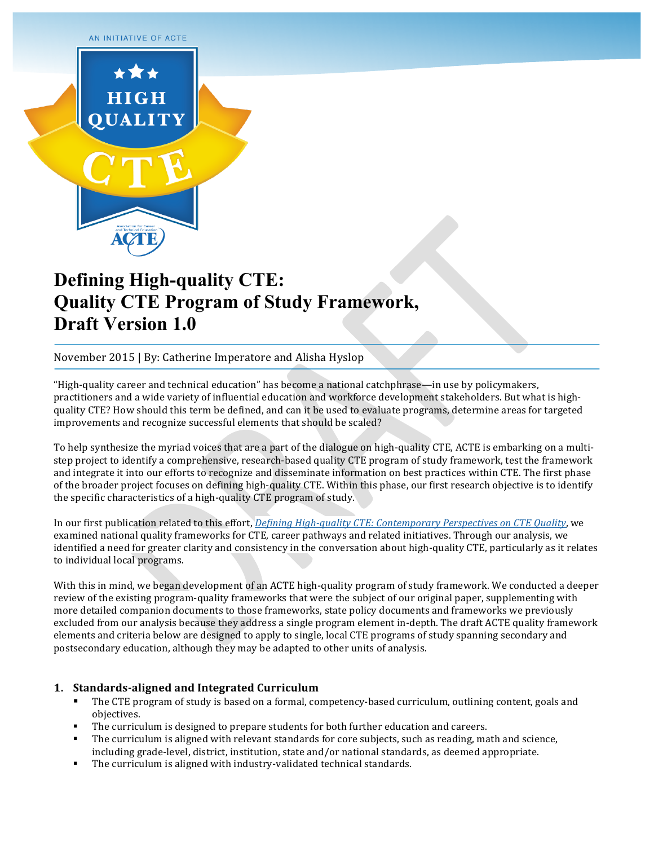

# **Defining High-quality CTE: Quality CTE Program of Study Framework, Draft Version 1.0**

November 2015 | By: Catherine Imperatore and Alisha Hyslop

"High-quality career and technical education" has become a national catchphrase—in use by policymakers, practitioners and a wide variety of influential education and workforce development stakeholders. But what is highquality CTE? How should this term be defined, and can it be used to evaluate programs, determine areas for targeted improvements and recognize successful elements that should be scaled?

To help synthesize the myriad voices that are a part of the dialogue on high-quality CTE, ACTE is embarking on a multistep project to identify a comprehensive, research-based quality CTE program of study framework, test the framework and integrate it into our efforts to recognize and disseminate information on best practices within CTE. The first phase of the broader project focuses on defining high-quality CTE. Within this phase, our first research objective is to identify the specific characteristics of a high-quality CTE program of study.

In our first publication related to this effort, *Defining High-quality CTE: Contemporary Perspectives on CTE Quality*, we examined national quality frameworks for CTE, career pathways and related initiatives. Through our analysis, we identified a need for greater clarity and consistency in the conversation about high-quality CTE, particularly as it relates to individual local programs.

With this in mind, we began development of an ACTE high-quality program of study framework. We conducted a deeper review of the existing program-quality frameworks that were the subject of our original paper, supplementing with more detailed companion documents to those frameworks, state policy documents and frameworks we previously excluded from our analysis because they address a single program element in-depth. The draft ACTE quality framework elements and criteria below are designed to apply to single, local CTE programs of study spanning secondary and postsecondary education, although they may be adapted to other units of analysis.

## 1. Standards-aligned and Integrated Curriculum

- The CTE program of study is based on a formal, competency-based curriculum, outlining content, goals and objectives.
- The curriculum is designed to prepare students for both further education and careers.
- The curriculum is aligned with relevant standards for core subjects, such as reading, math and science, including grade-level, district, institution, state and/or national standards, as deemed appropriate.
- " The curriculum is aligned with industry-validated technical standards.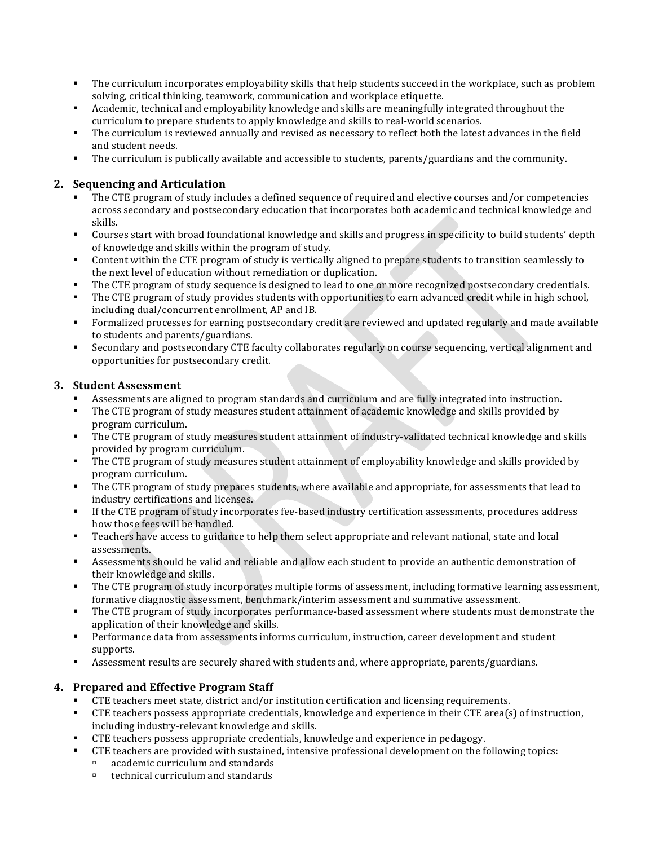- " The curriculum incorporates employability skills that help students succeed in the workplace, such as problem solving, critical thinking, teamwork, communication and workplace etiquette.
- Academic, technical and employability knowledge and skills are meaningfully integrated throughout the curriculum to prepare students to apply knowledge and skills to real-world scenarios.
- The curriculum is reviewed annually and revised as necessary to reflect both the latest advances in the field and student needs.
- The curriculum is publically available and accessible to students, parents/guardians and the community.

# **2. Sequencing and/Articulation**

- The CTE program of study includes a defined sequence of required and elective courses and/or competencies across secondary and postsecondary education that incorporates both academic and technical knowledge and skills.
- " Courses start with broad foundational knowledge and skills and progress in specificity to build students' depth of knowledge and skills within the program of study.
- Content within the CTE program of study is vertically aligned to prepare students to transition seamlessly to the next level of education without remediation or duplication.
- The CTE program of study sequence is designed to lead to one or more recognized postsecondary credentials.
- " The CTE program of study provides students with opportunities to earn advanced credit while in high school, including dual/concurrent enrollment, AP and IB.
- " Formalized processes for earning postsecondary credit are reviewed and updated regularly and made available to students and parents/guardians.
- Secondary and postsecondary CTE faculty collaborates regularly on course sequencing, vertical alignment and opportunities for postsecondary credit.

## **3.** Student Assessment

- Assessments are aligned to program standards and curriculum and are fully integrated into instruction.
- " The CTE program of study measures student attainment of academic knowledge and skills provided by program curriculum.
- The CTE program of study measures student attainment of industry-validated technical knowledge and skills provided by program curriculum.
- " The CTE program of study measures student attainment of employability knowledge and skills provided by program curriculum.
- " The CTE program of study prepares students, where available and appropriate, for assessments that lead to industry certifications and licenses.
- If the CTE program of study incorporates fee-based industry certification assessments, procedures address how those fees will be handled.
- Teachers have access to guidance to help them select appropriate and relevant national, state and local assessments.
- Assessments should be valid and reliable and allow each student to provide an authentic demonstration of their knowledge and skills.
- The CTE program of study incorporates multiple forms of assessment, including formative learning assessment, formative diagnostic assessment, benchmark/interim assessment and summative assessment.
- " The CTE program of study incorporates performance-based assessment where students must demonstrate the application of their knowledge and skills.
- " Performance data from assessments informs curriculum, instruction, career development and student supports.
- " Assessment results are securely shared with students and, where appropriate, parents/guardians.

## **4. Prepared and Effective Program Staff**

- CTE teachers meet state, district and/or institution certification and licensing requirements.
- " CTE teachers possess appropriate credentials, knowledge and experience in their CTE area(s) of instruction, including industry-relevant knowledge and skills.
- CTE teachers possess appropriate credentials, knowledge and experience in pedagogy.
- " CTE teachers are provided with sustained, intensive professional development on the following topics:
	- $\Box$  academic curriculum and standards
	- $\text{technical curriculum}$  and standards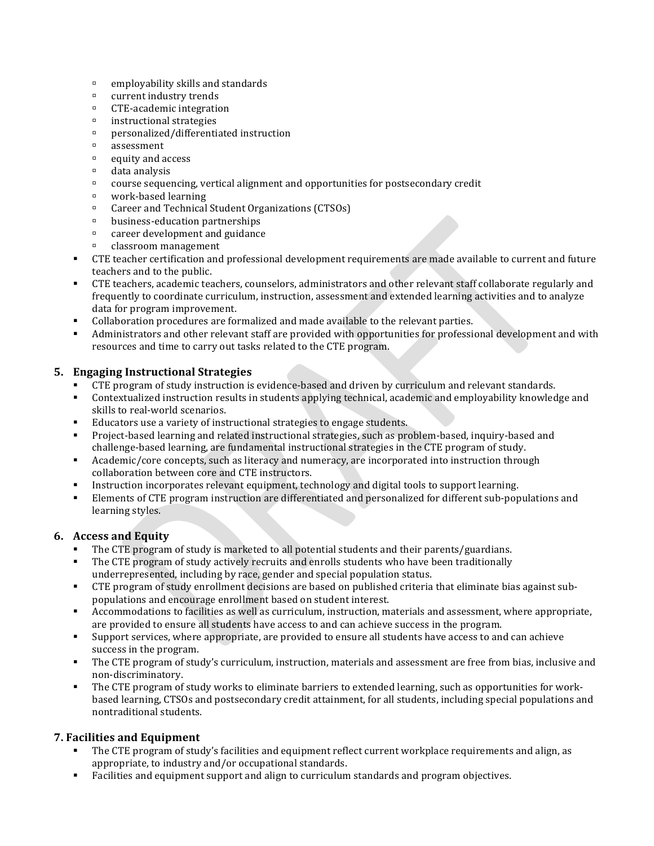- $\Box$  employability skills and standards
- $\Box$  current industry trends
- $\Box$  CTE-academic integration
- $\blacksquare$  instructional strategies
- $p$  personalized/differentiated instruction
- " assessment
- $\Box$  equity and access
- $\Box$  data analysis
- $\Box$  course sequencing, vertical alignment and opportunities for postsecondary credit
- $\Box$  work-based learning
- <sup>□</sup> Career and Technical Student Organizations (CTSOs)
- $\blacksquare$  business-education partnerships
- $\Box$  career development and guidance
- $\Box$  classroom management
- CTE teacher certification and professional development requirements are made available to current and future teachers and to the public.
- CTE teachers, academic teachers, counselors, administrators and other relevant staff collaborate regularly and frequently to coordinate curriculum, instruction, assessment and extended learning activities and to analyze data for program improvement.
- " Collaboration procedures are formalized and made available to the relevant parties.
- " Administrators and other relevant staff are provided with opportunities for professional development and with resources and time to carry out tasks related to the CTE program.

#### **5. Engaging Instructional Strategies**

- CTE program of study instruction is evidence-based and driven by curriculum and relevant standards.
- "Contextualized instruction results in students applying technical, academic and employability knowledge and skills to real-world scenarios.
- Educators use a variety of instructional strategies to engage students.
- " Project-based learning and related instructional strategies, such as problem-based, inquiry-based and challenge-based learning, are fundamental instructional strategies in the CTE program of study.
- Academic/core concepts, such as literacy and numeracy, are incorporated into instruction through collaboration between core and CTE instructors.
- Instruction incorporates relevant equipment, technology and digital tools to support learning.
- "Elements of CTE program instruction are differentiated and personalized for different sub-populations and learning styles.

#### **6. Access and Equity**

- The CTE program of study is marketed to all potential students and their parents/guardians.
- The CTE program of study actively recruits and enrolls students who have been traditionally underrepresented, including by race, gender and special population status.
- CTE program of study enrollment decisions are based on published criteria that eliminate bias against subpopulations and encourage enrollment based on student interest.
- " Accommodations to facilities as well as curriculum, instruction, materials and assessment, where appropriate, are provided to ensure all students have access to and can achieve success in the program.
- "Support services, where appropriate, are provided to ensure all students have access to and can achieve success in the program.
- " The CTE program of study's curriculum, instruction, materials and assessment are free from bias, inclusive and non-discriminatory.
- " The CTE program of study works to eliminate barriers to extended learning, such as opportunities for workbased learning, CTSOs and postsecondary credit attainment, for all students, including special populations and nontraditional students.

#### **7. Facilities and Equipment**

- The CTE program of study's facilities and equipment reflect current workplace requirements and align, as appropriate, to industry and/or occupational standards.
- Facilities and equipment support and align to curriculum standards and program objectives.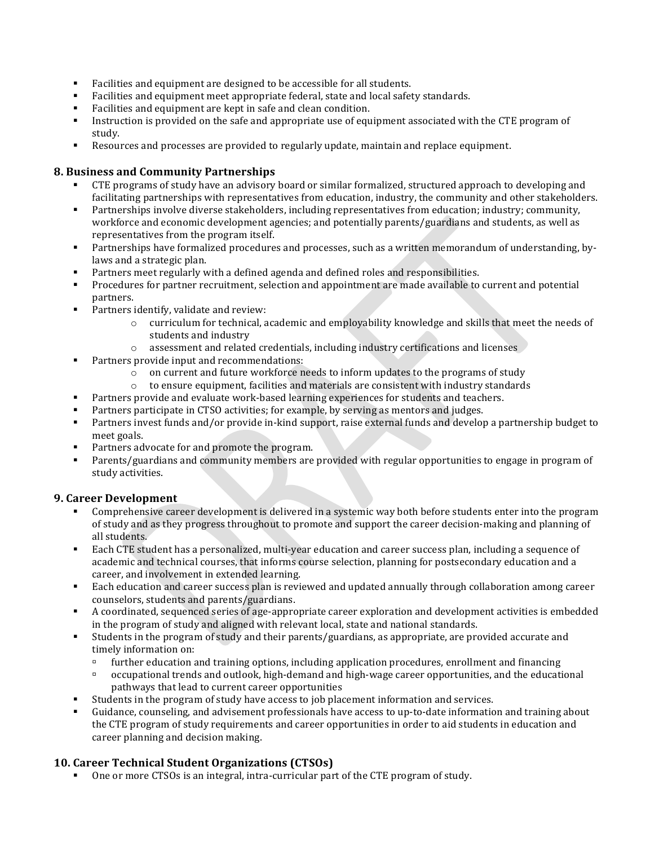- Facilities and equipment are designed to be accessible for all students.
- Facilities and equipment meet appropriate federal, state and local safety standards.
- Facilities and equipment are kept in safe and clean condition.
- Instruction is provided on the safe and appropriate use of equipment associated with the CTE program of study.
- " Resources and processes are provided to regularly update, maintain and replace equipment.

## **8. Business and Community Partnerships**

- CTE programs of study have an advisory board or similar formalized, structured approach to developing and facilitating partnerships with representatives from education, industry, the community and other stakeholders.
- " Partnerships involve diverse stakeholders, including representatives from education; industry; community, workforce and economic development agencies; and potentially parents/guardians and students, as well as representatives from the program itself.
- " Partnerships have formalized procedures and processes, such as a written memorandum of understanding, bylaws and a strategic plan.
- Partners meet regularly with a defined agenda and defined roles and responsibilities.
- Procedures for partner recruitment, selection and appointment are made available to current and potential partners.
- $\blacksquare$  Partners identify, validate and review:
	- $\circ$  curriculum for technical, academic and employability knowledge and skills that meet the needs of students and industry
	- $\circ$  assessment and related credentials, including industry certifications and licenses
- " Partners provide input and recommendations:
	- $\circ$  on current and future workforce needs to inform updates to the programs of study
	- $\circ$  to ensure equipment, facilities and materials are consistent with industry standards
- Partners provide and evaluate work-based learning experiences for students and teachers.
- Partners participate in CTSO activities; for example, by serving as mentors and judges.
- Partners invest funds and/or provide in-kind support, raise external funds and develop a partnership budget to meet goals.
- Partners advocate for and promote the program.
- Parents/guardians and community members are provided with regular opportunities to engage in program of study activities.

## **9. Career Development**

- Comprehensive career development is delivered in a systemic way both before students enter into the program of study and as they progress throughout to promote and support the career decision-making and planning of all students.
- " Each CTE student has a personalized, multi-year education and career success plan, including a sequence of academic and technical courses, that informs course selection, planning for postsecondary education and a career, and involvement in extended learning.
- Each education and career success plan is reviewed and updated annually through collaboration among career counselors, students and parents/guardians.
- " A coordinated, sequenced series of age-appropriate career exploration and development activities is embedded in the program of study and aligned with relevant local, state and national standards.
- "Students in the program of study and their parents/guardians, as appropriate, are provided accurate and timely information on:
	- $\blacksquare$  further education and training options, including application procedures, enrollment and financing
	- $\degree$  occupational trends and outlook, high-demand and high-wage career opportunities, and the educational pathways that lead to current career opportunities
	- Students in the program of study have access to job placement information and services.
- Guidance, counseling, and advisement professionals have access to up-to-date information and training about the CTE program of study requirements and career opportunities in order to aid students in education and career planning and decision making.

## 10. Career Technical Student Organizations (CTSOs)

" One or more CTSOs is an integral, intra-curricular part of the CTE program of study.